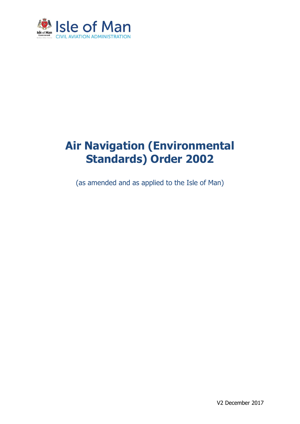

# **Air Navigation (Environmental Standards) Order 2002**

(as amended and as applied to the Isle of Man)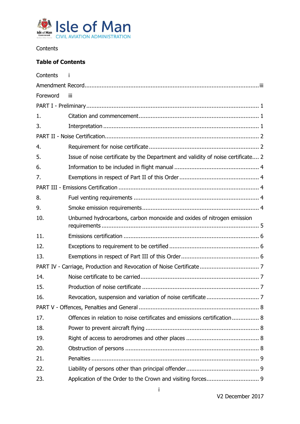

<span id="page-1-0"></span>**Contents** 

## **Table of Contents**

| Contents |                                                                                  |  |  |  |
|----------|----------------------------------------------------------------------------------|--|--|--|
|          |                                                                                  |  |  |  |
| Foreword | Ϊij                                                                              |  |  |  |
|          |                                                                                  |  |  |  |
| 1.       |                                                                                  |  |  |  |
| 3.       |                                                                                  |  |  |  |
|          |                                                                                  |  |  |  |
| 4.       |                                                                                  |  |  |  |
| 5.       | Issue of noise certificate by the Department and validity of noise certificate 2 |  |  |  |
| 6.       |                                                                                  |  |  |  |
| 7.       |                                                                                  |  |  |  |
|          |                                                                                  |  |  |  |
| 8.       |                                                                                  |  |  |  |
| 9.       |                                                                                  |  |  |  |
| 10.      | Unburned hydrocarbons, carbon monoxide and oxides of nitrogen emission           |  |  |  |
| 11.      |                                                                                  |  |  |  |
| 12.      |                                                                                  |  |  |  |
| 13.      |                                                                                  |  |  |  |
|          |                                                                                  |  |  |  |
| 14.      |                                                                                  |  |  |  |
| 15.      |                                                                                  |  |  |  |
| 16.      |                                                                                  |  |  |  |
|          |                                                                                  |  |  |  |
| 17.      | Offences in relation to noise certificates and emissions certification 8         |  |  |  |
| 18.      |                                                                                  |  |  |  |
| 19.      |                                                                                  |  |  |  |
| 20.      |                                                                                  |  |  |  |
| 21.      |                                                                                  |  |  |  |
| 22.      |                                                                                  |  |  |  |
| 23.      |                                                                                  |  |  |  |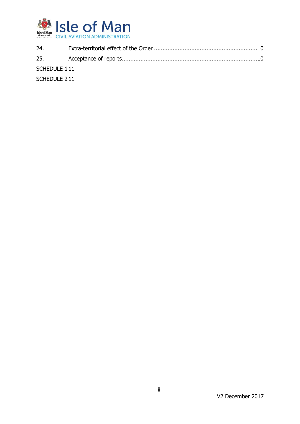

| 24.          |  |
|--------------|--|
|              |  |
| SCHEDULE 111 |  |
| SCHEDULE 211 |  |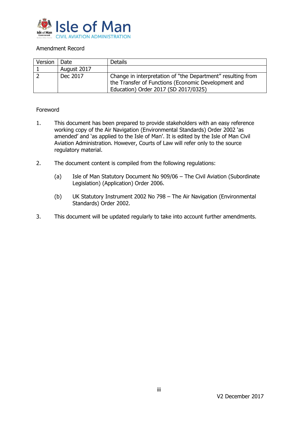

#### <span id="page-3-0"></span>Amendment Record

| Version | Date        | <b>Details</b>                                              |  |
|---------|-------------|-------------------------------------------------------------|--|
|         | August 2017 |                                                             |  |
|         | Dec 2017    | Change in interpretation of "the Department" resulting from |  |
|         |             | the Transfer of Functions (Economic Development and         |  |
|         |             | Education) Order 2017 (SD 2017/0325)                        |  |

#### <span id="page-3-1"></span>Foreword

- 1. This document has been prepared to provide stakeholders with an easy reference working copy of the Air Navigation (Environmental Standards) Order 2002 'as amended' and 'as applied to the Isle of Man'. It is edited by the Isle of Man Civil Aviation Administration. However, Courts of Law will refer only to the source regulatory material.
- 2. The document content is compiled from the following regulations:
	- (a) Isle of Man Statutory Document No 909/06 The Civil Aviation (Subordinate Legislation) (Application) Order 2006.
	- (b) UK Statutory Instrument 2002 No 798 The Air Navigation (Environmental Standards) Order 2002.
- 3. This document will be updated regularly to take into account further amendments.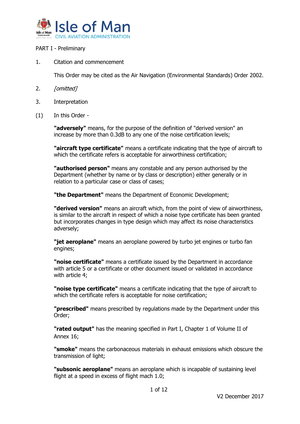

#### <span id="page-4-0"></span>PART I - Preliminary

<span id="page-4-1"></span>1. Citation and commencement

This Order may be cited as the Air Navigation (Environmental Standards) Order 2002.

- 2. *[omitted]*
- <span id="page-4-2"></span>3. Interpretation
- (1) In this Order -

**"adversely"** means, for the purpose of the definition of "derived version" an increase by more than 0.3dB to any one of the noise certification levels;

**"aircraft type certificate"** means a certificate indicating that the type of aircraft to which the certificate refers is acceptable for airworthiness certification;

**"authorised person"** means any constable and any person authorised by the Department (whether by name or by class or description) either generally or in relation to a particular case or class of cases;

**"the Department"** means the Department of Economic Development;

**"derived version"** means an aircraft which, from the point of view of airworthiness, is similar to the aircraft in respect of which a noise type certificate has been granted but incorporates changes in type design which may affect its noise characteristics adversely;

**"jet aeroplane"** means an aeroplane powered by turbo jet engines or turbo fan engines;

**"noise certificate"** means a certificate issued by the Department in accordance with article 5 or a certificate or other document issued or validated in accordance with article 4;

**"noise type certificate"** means a certificate indicating that the type of aircraft to which the certificate refers is acceptable for noise certification;

**"prescribed"** means prescribed by regulations made by the Department under this Order;

**"rated output"** has the meaning specified in Part I, Chapter 1 of Volume II of Annex 16;

**"smoke"** means the carbonaceous materials in exhaust emissions which obscure the transmission of light;

**"subsonic aeroplane"** means an aeroplane which is incapable of sustaining level flight at a speed in excess of flight mach 1.0;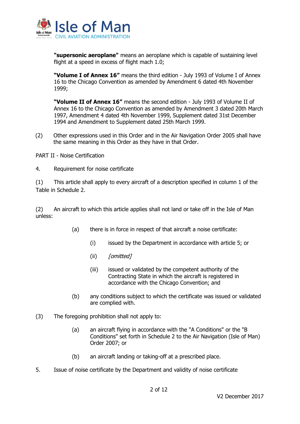

**"supersonic aeroplane"** means an aeroplane which is capable of sustaining level flight at a speed in excess of flight mach 1.0;

**"Volume I of Annex 16"** means the third edition - July 1993 of Volume I of Annex 16 to the Chicago Convention as amended by Amendment 6 dated 4th November 1999;

**"Volume II of Annex 16"** means the second edition - July 1993 of Volume II of Annex 16 to the Chicago Convention as amended by Amendment 3 dated 20th March 1997, Amendment 4 dated 4th November 1999, Supplement dated 31st December 1994 and Amendment to Supplement dated 25th March 1999.

(2) Other expressions used in this Order and in the Air Navigation Order 2005 shall have the same meaning in this Order as they have in that Order.

<span id="page-5-0"></span>PART II - Noise Certification

<span id="page-5-1"></span>4. Requirement for noise certificate

(1) This article shall apply to every aircraft of a description specified in column 1 of the Table in Schedule 2.

(2) An aircraft to which this article applies shall not land or take off in the Isle of Man unless:

- (a) there is in force in respect of that aircraft a noise certificate:
	- (i) issued by the Department in accordance with article 5; or
	- $(iii)$  *[omitted]*
	- (iii) issued or validated by the competent authority of the Contracting State in which the aircraft is registered in accordance with the Chicago Convention; and
- (b) any conditions subject to which the certificate was issued or validated are complied with.
- (3) The foregoing prohibition shall not apply to:
	- (a) an aircraft flying in accordance with the "A Conditions" or the "B Conditions" set forth in Schedule 2 to the Air Navigation (Isle of Man) Order 2007; or
	- (b) an aircraft landing or taking-off at a prescribed place.
- <span id="page-5-2"></span>5. Issue of noise certificate by the Department and validity of noise certificate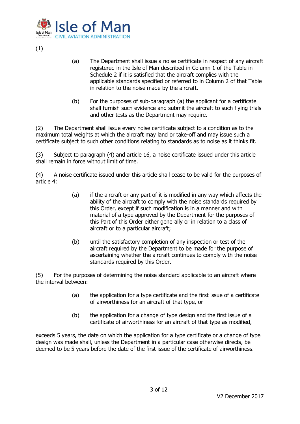

(1)

- (a) The Department shall issue a noise certificate in respect of any aircraft registered in the Isle of Man described in Column 1 of the Table in Schedule 2 if it is satisfied that the aircraft complies with the applicable standards specified or referred to in Column 2 of that Table in relation to the noise made by the aircraft.
- (b) For the purposes of sub-paragraph (a) the applicant for a certificate shall furnish such evidence and submit the aircraft to such flying trials and other tests as the Department may require.

(2) The Department shall issue every noise certificate subject to a condition as to the maximum total weights at which the aircraft may land or take-off and may issue such a certificate subject to such other conditions relating to standards as to noise as it thinks fit.

(3) Subject to paragraph (4) and article 16, a noise certificate issued under this article shall remain in force without limit of time.

(4) A noise certificate issued under this article shall cease to be valid for the purposes of article 4:

- (a) if the aircraft or any part of it is modified in any way which affects the ability of the aircraft to comply with the noise standards required by this Order, except if such modification is in a manner and with material of a type approved by the Department for the purposes of this Part of this Order either generally or in relation to a class of aircraft or to a particular aircraft;
- (b) until the satisfactory completion of any inspection or test of the aircraft required by the Department to be made for the purpose of ascertaining whether the aircraft continues to comply with the noise standards required by this Order.

(5) For the purposes of determining the noise standard applicable to an aircraft where the interval between:

- (a) the application for a type certificate and the first issue of a certificate of airworthiness for an aircraft of that type, or
- (b) the application for a change of type design and the first issue of a certificate of airworthiness for an aircraft of that type as modified,

exceeds 5 years, the date on which the application for a type certificate or a change of type design was made shall, unless the Department in a particular case otherwise directs, be deemed to be 5 years before the date of the first issue of the certificate of airworthiness.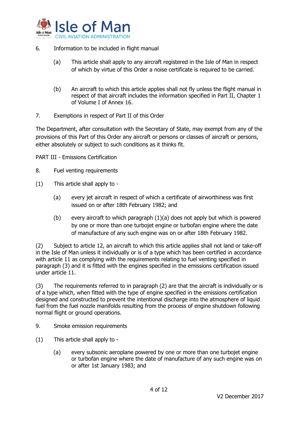

- <span id="page-7-0"></span>6. Information to be included in flight manual
	- (a) This article shall apply to any aircraft registered in the Isle of Man in respect of which by virtue of this Order a noise certificate is required to be carried.
	- (b) An aircraft to which this article applies shall not fly unless the flight manual in respect of that aircraft includes the information specified in Part II, Chapter 1 of Volume I of Annex 16.
- <span id="page-7-1"></span>7. Exemptions in respect of Part II of this Order

The Department, after consultation with the Secretary of State, may exempt from any of the provisions of this Part of this Order any aircraft or persons or classes of aircraft or persons, either absolutely or subject to such conditions as it thinks fit.

<span id="page-7-2"></span>PART III - Emissions Certification

- <span id="page-7-3"></span>8. Fuel venting requirements
- (1) This article shall apply to
	- (a) every jet aircraft in respect of which a certificate of airworthiness was first issued on or after 18th February 1982; and
	- (b) every aircraft to which paragraph  $(1)(a)$  does not apply but which is powered by one or more than one turbojet engine or turbofan engine where the date of manufacture of any such engine was on or after 18th February 1982.

(2) Subject to article 12, an aircraft to which this article applies shall not land or take-off in the Isle of Man unless it individually or is of a type which has been certified in accordance with article 11 as complying with the requirements relating to fuel venting specified in paragraph (3) and it is fitted with the engines specified in the emissions certification issued under article 11.

(3) The requirements referred to in paragraph (2) are that the aircraft is individually or is of a type which, when fitted with the type of engine specified in the emissions certification designed and constructed to prevent the intentional discharge into the atmosphere of liquid fuel from the fuel nozzle manifolds resulting from the process of engine shutdown following normal flight or ground operations.

- <span id="page-7-4"></span>9. Smoke emission requirements
- (1) This article shall apply to
	- (a) every subsonic aeroplane powered by one or more than one turbojet engine or turbofan engine where the date of manufacture of any such engine was on or after 1st January 1983; and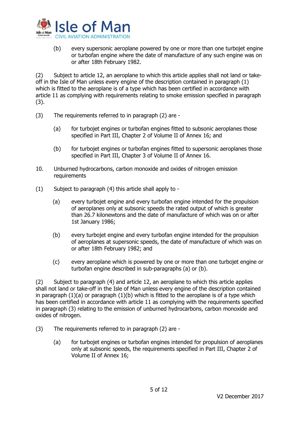

(b) every supersonic aeroplane powered by one or more than one turbojet engine or turbofan engine where the date of manufacture of any such engine was on or after 18th February 1982.

(2) Subject to article 12, an aeroplane to which this article applies shall not land or takeoff in the Isle of Man unless every engine of the description contained in paragraph (1) which is fitted to the aeroplane is of a type which has been certified in accordance with article 11 as complying with requirements relating to smoke emission specified in paragraph (3).

- (3) The requirements referred to in paragraph (2) are
	- (a) for turbojet engines or turbofan engines fitted to subsonic aeroplanes those specified in Part III, Chapter 2 of Volume II of Annex 16; and
	- (b) for turbojet engines or turbofan engines fitted to supersonic aeroplanes those specified in Part III, Chapter 3 of Volume II of Annex 16.
- <span id="page-8-0"></span>10. Unburned hydrocarbons, carbon monoxide and oxides of nitrogen emission requirements
- (1) Subject to paragraph (4) this article shall apply to
	- (a) every turbojet engine and every turbofan engine intended for the propulsion of aeroplanes only at subsonic speeds the rated output of which is greater than 26.7 kilonewtons and the date of manufacture of which was on or after 1st January 1986;
	- (b) every turbojet engine and every turbofan engine intended for the propulsion of aeroplanes at supersonic speeds, the date of manufacture of which was on or after 18th February 1982; and
	- (c) every aeroplane which is powered by one or more than one turbojet engine or turbofan engine described in sub-paragraphs (a) or (b).

(2) Subject to paragraph (4) and article 12, an aeroplane to which this article applies shall not land or take-off in the Isle of Man unless every engine of the description contained in paragraph  $(1)(a)$  or paragraph  $(1)(b)$  which is fitted to the aeroplane is of a type which has been certified in accordance with article 11 as complying with the requirements specified in paragraph (3) relating to the emission of unburned hydrocarbons, carbon monoxide and oxides of nitrogen.

- (3) The requirements referred to in paragraph (2) are
	- (a) for turbojet engines or turbofan engines intended for propulsion of aeroplanes only at subsonic speeds, the requirements specified in Part III, Chapter 2 of Volume II of Annex 16;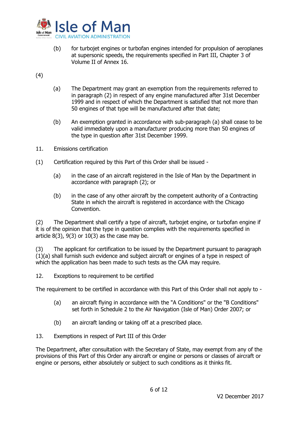

- (b) for turbojet engines or turbofan engines intended for propulsion of aeroplanes at supersonic speeds, the requirements specified in Part III, Chapter 3 of Volume II of Annex 16.
- (4)
- (a) The Department may grant an exemption from the requirements referred to in paragraph (2) in respect of any engine manufactured after 31st December 1999 and in respect of which the Department is satisfied that not more than 50 engines of that type will be manufactured after that date;
- (b) An exemption granted in accordance with sub-paragraph (a) shall cease to be valid immediately upon a manufacturer producing more than 50 engines of the type in question after 31st December 1999.
- <span id="page-9-0"></span>11. Emissions certification
- (1) Certification required by this Part of this Order shall be issued
	- (a) in the case of an aircraft registered in the Isle of Man by the Department in accordance with paragraph (2); or
	- (b) in the case of any other aircraft by the competent authority of a Contracting State in which the aircraft is registered in accordance with the Chicago Convention.

(2) The Department shall certify a type of aircraft, turbojet engine, or turbofan engine if it is of the opinion that the type in question complies with the requirements specified in article  $8(3)$ ,  $9(3)$  or  $10(3)$  as the case may be.

(3) The applicant for certification to be issued by the Department pursuant to paragraph (1)(a) shall furnish such evidence and subject aircraft or engines of a type in respect of which the application has been made to such tests as the CAA may require.

<span id="page-9-1"></span>12. Exceptions to requirement to be certified

The requirement to be certified in accordance with this Part of this Order shall not apply to -

- (a) an aircraft flying in accordance with the "A Conditions" or the "B Conditions" set forth in Schedule 2 to the Air Navigation (Isle of Man) Order 2007; or
- (b) an aircraft landing or taking off at a prescribed place.
- <span id="page-9-2"></span>13. Exemptions in respect of Part III of this Order

The Department, after consultation with the Secretary of State, may exempt from any of the provisions of this Part of this Order any aircraft or engine or persons or classes of aircraft or engine or persons, either absolutely or subject to such conditions as it thinks fit.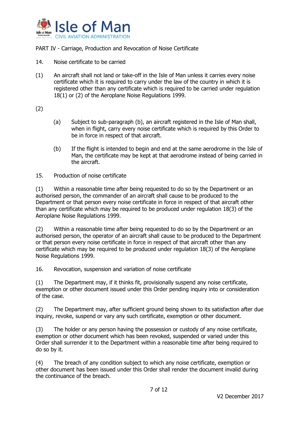

<span id="page-10-0"></span>PART IV - Carriage, Production and Revocation of Noise Certificate

- <span id="page-10-1"></span>14. Noise certificate to be carried
- (1) An aircraft shall not land or take-off in the Isle of Man unless it carries every noise certificate which it is required to carry under the law of the country in which it is registered other than any certificate which is required to be carried under regulation 18(1) or (2) of the Aeroplane Noise Regulations 1999.
- (2)
- (a) Subject to sub-paragraph (b), an aircraft registered in the Isle of Man shall, when in flight, carry every noise certificate which is required by this Order to be in force in respect of that aircraft.
- (b) If the flight is intended to begin and end at the same aerodrome in the Isle of Man, the certificate may be kept at that aerodrome instead of being carried in the aircraft.
- <span id="page-10-2"></span>15. Production of noise certificate

(1) Within a reasonable time after being requested to do so by the Department or an authorised person, the commander of an aircraft shall cause to be produced to the Department or that person every noise certificate in force in respect of that aircraft other than any certificate which may be required to be produced under regulation 18(3) of the Aeroplane Noise Regulations 1999.

(2) Within a reasonable time after being requested to do so by the Department or an authorised person, the operator of an aircraft shall cause to be produced to the Department or that person every noise certificate in force in respect of that aircraft other than any certificate which may be required to be produced under regulation 18(3) of the Aeroplane Noise Regulations 1999.

<span id="page-10-3"></span>16. Revocation, suspension and variation of noise certificate

(1) The Department may, if it thinks fit, provisionally suspend any noise certificate, exemption or other document issued under this Order pending inquiry into or consideration of the case.

(2) The Department may, after sufficient ground being shown to its satisfaction after due inquiry, revoke, suspend or vary any such certificate, exemption or other document.

(3) The holder or any person having the possession or custody of any noise certificate, exemption or other document which has been revoked, suspended or varied under this Order shall surrender it to the Department within a reasonable time after being required to do so by it.

(4) The breach of any condition subject to which any noise certificate, exemption or other document has been issued under this Order shall render the document invalid during the continuance of the breach.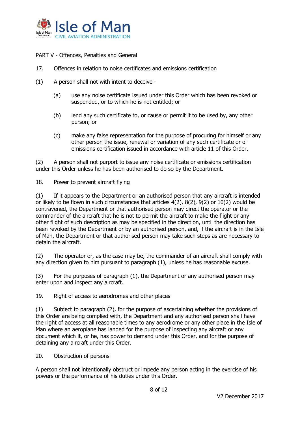

<span id="page-11-0"></span>PART V - Offences, Penalties and General

- <span id="page-11-1"></span>17. Offences in relation to noise certificates and emissions certification
- (1) A person shall not with intent to deceive
	- (a) use any noise certificate issued under this Order which has been revoked or suspended, or to which he is not entitled; or
	- (b) lend any such certificate to, or cause or permit it to be used by, any other person; or
	- (c) make any false representation for the purpose of procuring for himself or any other person the issue, renewal or variation of any such certificate or of emissions certification issued in accordance with article 11 of this Order.

(2) A person shall not purport to issue any noise certificate or emissions certification under this Order unless he has been authorised to do so by the Department.

<span id="page-11-2"></span>18. Power to prevent aircraft flying

(1) If it appears to the Department or an authorised person that any aircraft is intended or likely to be flown in such circumstances that articles 4(2), 8(2), 9(2) or 10(2) would be contravened, the Department or that authorised person may direct the operator or the commander of the aircraft that he is not to permit the aircraft to make the flight or any other flight of such description as may be specified in the direction, until the direction has been revoked by the Department or by an authorised person, and, if the aircraft is in the Isle of Man, the Department or that authorised person may take such steps as are necessary to detain the aircraft.

(2) The operator or, as the case may be, the commander of an aircraft shall comply with any direction given to him pursuant to paragraph (1), unless he has reasonable excuse.

(3) For the purposes of paragraph (1), the Department or any authorised person may enter upon and inspect any aircraft.

<span id="page-11-3"></span>19. Right of access to aerodromes and other places

(1) Subject to paragraph (2), for the purpose of ascertaining whether the provisions of this Order are being complied with, the Department and any authorised person shall have the right of access at all reasonable times to any aerodrome or any other place in the Isle of Man where an aeroplane has landed for the purpose of inspecting any aircraft or any document which it, or he, has power to demand under this Order, and for the purpose of detaining any aircraft under this Order.

#### <span id="page-11-4"></span>20. Obstruction of persons

A person shall not intentionally obstruct or impede any person acting in the exercise of his powers or the performance of his duties under this Order.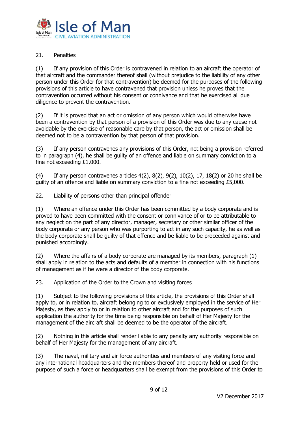

### <span id="page-12-0"></span>21. Penalties

(1) If any provision of this Order is contravened in relation to an aircraft the operator of that aircraft and the commander thereof shall (without prejudice to the liability of any other person under this Order for that contravention) be deemed for the purposes of the following provisions of this article to have contravened that provision unless he proves that the contravention occurred without his consent or connivance and that he exercised all due diligence to prevent the contravention.

(2) If it is proved that an act or omission of any person which would otherwise have been a contravention by that person of a provision of this Order was due to any cause not avoidable by the exercise of reasonable care by that person, the act or omission shall be deemed not to be a contravention by that person of that provision.

(3) If any person contravenes any provisions of this Order, not being a provision referred to in paragraph (4), he shall be guilty of an offence and liable on summary conviction to a fine not exceeding £1,000.

(4) If any person contravenes articles  $4(2)$ ,  $8(2)$ ,  $9(2)$ ,  $10(2)$ ,  $17$ ,  $18(2)$  or 20 he shall be guilty of an offence and liable on summary conviction to a fine not exceeding £5,000.

<span id="page-12-1"></span>22. Liability of persons other than principal offender

(1) Where an offence under this Order has been committed by a body corporate and is proved to have been committed with the consent or connivance of or to be attributable to any neglect on the part of any director, manager, secretary or other similar officer of the body corporate or any person who was purporting to act in any such capacity, he as well as the body corporate shall be guilty of that offence and be liable to be proceeded against and punished accordingly.

(2) Where the affairs of a body corporate are managed by its members, paragraph (1) shall apply in relation to the acts and defaults of a member in connection with his functions of management as if he were a director of the body corporate.

<span id="page-12-2"></span>23. Application of the Order to the Crown and visiting forces

(1) Subject to the following provisions of this article, the provisions of this Order shall apply to, or in relation to, aircraft belonging to or exclusively employed in the service of Her Majesty, as they apply to or in relation to other aircraft and for the purposes of such application the authority for the time being responsible on behalf of Her Majesty for the management of the aircraft shall be deemed to be the operator of the aircraft.

(2) Nothing in this article shall render liable to any penalty any authority responsible on behalf of Her Majesty for the management of any aircraft.

(3) The naval, military and air force authorities and members of any visiting force and any international headquarters and the members thereof and property held or used for the purpose of such a force or headquarters shall be exempt from the provisions of this Order to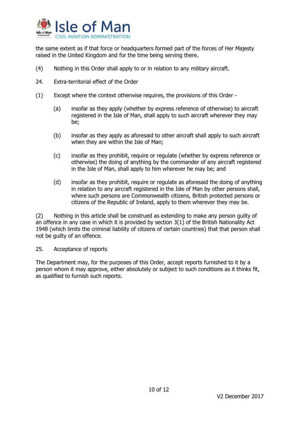

the same extent as if that force or headquarters formed part of the forces of Her Majesty raised in the United Kingdom and for the time being serving there.

- (4) Nothing in this Order shall apply to or in relation to any military aircraft.
- <span id="page-13-0"></span>24. Extra-territorial effect of the Order
- (1) Except where the context otherwise requires, the provisions of this Order
	- (a) insofar as they apply (whether by express reference of otherwise) to aircraft registered in the Isle of Man, shall apply to such aircraft wherever they may be;
	- (b) insofar as they apply as aforesaid to other aircraft shall apply to such aircraft when they are within the Isle of Man;
	- (c) insofar as they prohibit, require or regulate (whether by express reference or otherwise) the doing of anything by the commander of any aircraft registered in the Isle of Man, shall apply to him wherever he may be; and
	- (d) insofar as they prohibit, require or regulate as aforesaid the doing of anything in relation to any aircraft registered in the Isle of Man by other persons shall, where such persons are Commonwealth citizens, British protected persons or citizens of the Republic of Ireland, apply to them wherever they may be.

(2) Nothing in this article shall be construed as extending to make any person guilty of an offence in any case in which it is provided by section 3(1) of the British Nationality Act 1948 (which limits the criminal liability of citizens of certain countries) that that person shall not be guilty of an offence.

<span id="page-13-1"></span>25. Acceptance of reports

The Department may, for the purposes of this Order, accept reports furnished to it by a person whom it may approve, either absolutely or subject to such conditions as it thinks fit, as qualified to furnish such reports.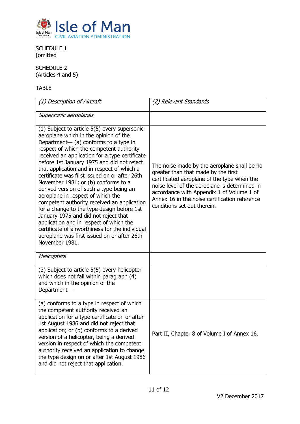

<span id="page-14-0"></span>SCHEDULE 1 [omitted]

<span id="page-14-1"></span>SCHEDULE 2 (Articles 4 and 5)

# TABLE

| (1) Description of Aircraft                                                                                                                                                                                                                                                                                                                                                                                                                                                                                                                                                                                                                                                                                                                                                                          | (2) Relevant Standards                                                                                                                                                                                                                                                                                          |
|------------------------------------------------------------------------------------------------------------------------------------------------------------------------------------------------------------------------------------------------------------------------------------------------------------------------------------------------------------------------------------------------------------------------------------------------------------------------------------------------------------------------------------------------------------------------------------------------------------------------------------------------------------------------------------------------------------------------------------------------------------------------------------------------------|-----------------------------------------------------------------------------------------------------------------------------------------------------------------------------------------------------------------------------------------------------------------------------------------------------------------|
| Supersonic aeroplanes                                                                                                                                                                                                                                                                                                                                                                                                                                                                                                                                                                                                                                                                                                                                                                                |                                                                                                                                                                                                                                                                                                                 |
| (1) Subject to article 5(5) every supersonic<br>aeroplane which in the opinion of the<br>Department- (a) conforms to a type in<br>respect of which the competent authority<br>received an application for a type certificate<br>before 1st January 1975 and did not reject<br>that application and in respect of which a<br>certificate was first issued on or after 26th<br>November 1981; or (b) conforms to a<br>derived version of such a type being an<br>aeroplane in respect of which the<br>competent authority received an application<br>for a change to the type design before 1st<br>January 1975 and did not reject that<br>application and in respect of which the<br>certificate of airworthiness for the individual<br>aeroplane was first issued on or after 26th<br>November 1981. | The noise made by the aeroplane shall be no<br>greater than that made by the first<br>certificated aeroplane of the type when the<br>noise level of the aeroplane is determined in<br>accordance with Appendix 1 of Volume 1 of<br>Annex 16 in the noise certification reference<br>conditions set out therein. |
| <b>Helicopters</b>                                                                                                                                                                                                                                                                                                                                                                                                                                                                                                                                                                                                                                                                                                                                                                                   |                                                                                                                                                                                                                                                                                                                 |
| (3) Subject to article 5(5) every helicopter<br>which does not fall within paragraph (4)<br>and which in the opinion of the<br>Department-                                                                                                                                                                                                                                                                                                                                                                                                                                                                                                                                                                                                                                                           |                                                                                                                                                                                                                                                                                                                 |
| (a) conforms to a type in respect of which<br>the competent authority received an<br>application for a type certificate on or after<br>1st August 1986 and did not reject that<br>application; or (b) conforms to a derived<br>version of a helicopter, being a derived<br>version in respect of which the competent<br>authority received an application to change<br>the type design on or after 1st August 1986<br>and did not reject that application.                                                                                                                                                                                                                                                                                                                                           | Part II, Chapter 8 of Volume I of Annex 16.                                                                                                                                                                                                                                                                     |